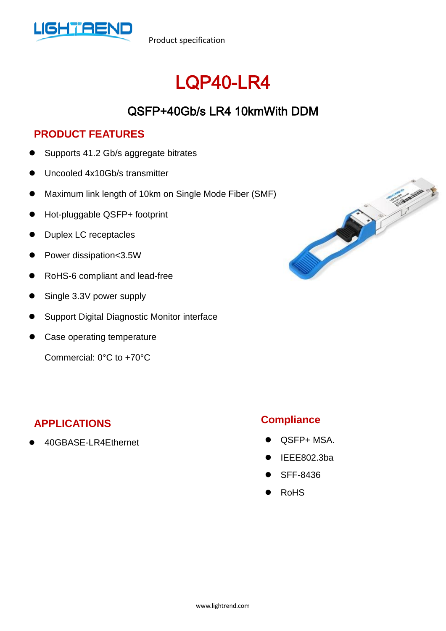

Product specification

# LQP40-LR4

## QSFP+40Gb/s LR4 10kmWith DDM

#### **PRODUCT FEATURES**

- Supports 41.2 Gb/s aggregate bitrates
- Uncooled 4x10Gb/s transmitter
- Maximum link length of 10km on Single Mode Fiber (SMF)
- Hot-pluggable QSFP+ footprint
- Duplex LC receptacles
- Power dissipation<3.5W
- RoHS-6 compliant and lead-free
- Single 3.3V power supply
- Support Digital Diagnostic Monitor interface
- Case operating temperature

Commercial: 0°C to +70°C

#### **APPLICATIONS**

40GBASE-LR4Ethernet



#### **Compliance**

- QSFP+ MSA.
- IEEE802.3ba
- SFF-8436
- RoHS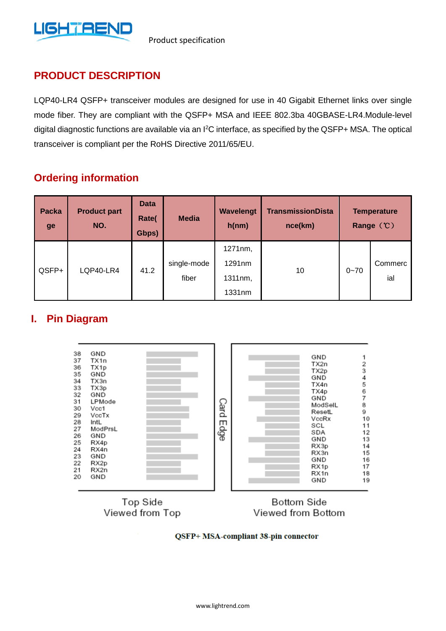

#### **PRODUCT DESCRIPTION**

LQP40-LR4 QSFP+ transceiver modules are designed for use in 40 Gigabit Ethernet links over single mode fiber. They are compliant with the QSFP+ MSA and IEEE 802.3ba 40GBASE-LR4.Module-level digital diagnostic functions are available via an I<sup>2</sup>C interface, as specified by the QSFP+ MSA. The optical transceiver is compliant per the RoHS Directive 2011/65/EU.

#### **Ordering information**

| <b>Packa</b><br>ge | <b>Product part</b><br>NO. | <b>Data</b><br>Rate(<br>Gbps) | <b>Media</b>         | Wavelengt<br>h(nm)                     | <b>TransmissionDista</b><br>nce(km) | <b>Temperature</b><br>Range (°C) |                |
|--------------------|----------------------------|-------------------------------|----------------------|----------------------------------------|-------------------------------------|----------------------------------|----------------|
| QSFP+              | LQP40-LR4                  | 41.2                          | single-mode<br>fiber | 1271nm,<br>1291nm<br>1311nm,<br>1331nm | 10                                  | $0 - 70$                         | Commerc<br>ial |

#### **I. Pin Diagram**



Top Side Viewed from Top

**Bottom Side** Viewed from Bottom

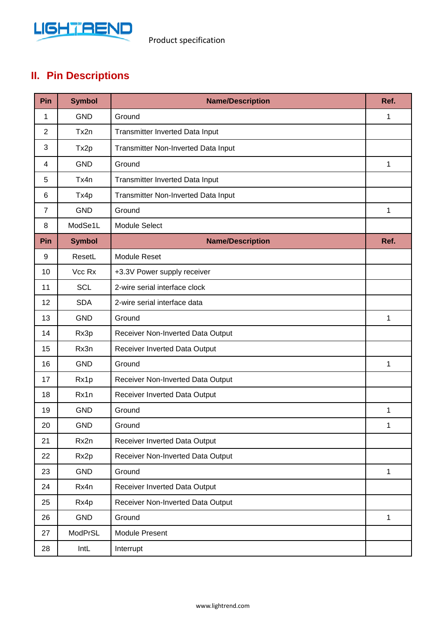

### **II. Pin Descriptions**

| Pin            | <b>Symbol</b> | <b>Name/Description</b>             | Ref. |
|----------------|---------------|-------------------------------------|------|
| 1              | <b>GND</b>    | Ground                              | 1    |
| $\overline{2}$ | Tx2n          | Transmitter Inverted Data Input     |      |
| 3              | Tx2p          | Transmitter Non-Inverted Data Input |      |
| 4              | <b>GND</b>    | Ground                              | 1    |
| 5              | Tx4n          | Transmitter Inverted Data Input     |      |
| 6              | Tx4p          | Transmitter Non-Inverted Data Input |      |
| $\overline{7}$ | <b>GND</b>    | Ground                              | 1    |
| 8              | ModSe1L       | <b>Module Select</b>                |      |
| Pin            | <b>Symbol</b> | <b>Name/Description</b>             | Ref. |
| 9              | ResetL        | <b>Module Reset</b>                 |      |
| 10             | Vcc Rx        | +3.3V Power supply receiver         |      |
| 11             | <b>SCL</b>    | 2-wire serial interface clock       |      |
| 12             | <b>SDA</b>    | 2-wire serial interface data        |      |
| 13             | <b>GND</b>    | Ground                              | 1    |
| 14             | Rx3p          | Receiver Non-Inverted Data Output   |      |
| 15             | Rx3n          | Receiver Inverted Data Output       |      |
| 16             | <b>GND</b>    | Ground                              | 1    |
| 17             | Rx1p          | Receiver Non-Inverted Data Output   |      |
| 18             | Rx1n          | Receiver Inverted Data Output       |      |
| 19             | <b>GND</b>    | Ground                              | 1    |
| 20             | <b>GND</b>    | Ground                              | 1    |
| 21             | Rx2n          | Receiver Inverted Data Output       |      |
| 22             | Rx2p          | Receiver Non-Inverted Data Output   |      |
| 23             | GND           | Ground                              | 1    |
| 24             | Rx4n          | Receiver Inverted Data Output       |      |
| 25             | Rx4p          | Receiver Non-Inverted Data Output   |      |
| 26             | GND           | Ground                              | 1    |
| 27             | ModPrSL       | Module Present                      |      |
| 28             | IntL          | Interrupt                           |      |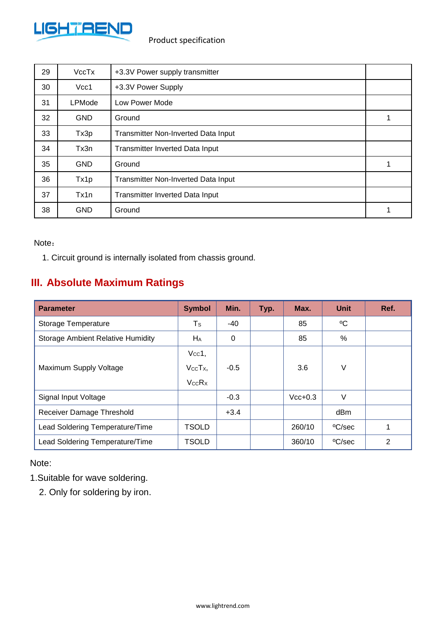

| 29 | VccTx         | +3.3V Power supply transmitter         |   |  |  |
|----|---------------|----------------------------------------|---|--|--|
| 30 | Vcc1          | +3.3V Power Supply                     |   |  |  |
| 31 | <b>LPMode</b> | Low Power Mode                         |   |  |  |
| 32 | <b>GND</b>    | Ground                                 |   |  |  |
| 33 | Tx3p          | Transmitter Non-Inverted Data Input    |   |  |  |
| 34 | Tx3n          | <b>Transmitter Inverted Data Input</b> |   |  |  |
| 35 | <b>GND</b>    | Ground                                 |   |  |  |
| 36 | Tx1p          | Transmitter Non-Inverted Data Input    |   |  |  |
| 37 | Tx1n          | <b>Transmitter Inverted Data Input</b> |   |  |  |
| 38 | <b>GND</b>    | Ground                                 | 1 |  |  |

#### Note:

1. Circuit ground is internally isolated from chassis ground.

#### **III. Absolute Maximum Ratings**

| <b>Parameter</b>                         | <b>Symbol</b>                  | Min.   | Typ. | Max.      | <b>Unit</b> | Ref. |
|------------------------------------------|--------------------------------|--------|------|-----------|-------------|------|
| Storage Temperature                      | Ts                             | $-40$  |      | 85        | °C          |      |
| <b>Storage Ambient Relative Humidity</b> | HA                             | 0      |      | 85        | $\%$        |      |
| Maximum Supply Voltage                   | $Vcc1$ ,<br>$VccTx$ ,<br>VccRx | $-0.5$ |      | 3.6       | V           |      |
| Signal Input Voltage                     |                                | $-0.3$ |      | $Vcc+0.3$ | V           |      |
| Receiver Damage Threshold                |                                | $+3.4$ |      |           | dBm         |      |
| Lead Soldering Temperature/Time          | <b>TSOLD</b>                   |        |      | 260/10    | °C/sec      |      |
| Lead Soldering Temperature/Time          | <b>TSOLD</b>                   |        |      | 360/10    | °C/sec      | 2    |

#### Note:

1.Suitable for wave soldering.

2. Only for soldering by iron.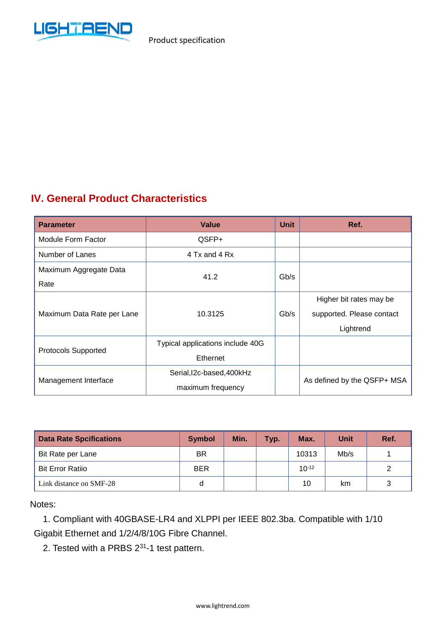

#### **IV. General Product Characteristics**

| <b>Parameter</b>            | Value                            |      | Ref.                        |
|-----------------------------|----------------------------------|------|-----------------------------|
| Module Form Factor<br>QSFP+ |                                  |      |                             |
| Number of Lanes             | 4 Tx and 4 Rx                    |      |                             |
| Maximum Aggregate Data      | 41.2                             | Gb/s |                             |
| Rate                        |                                  |      |                             |
|                             |                                  |      | Higher bit rates may be     |
| Maximum Data Rate per Lane  | 10.3125                          |      | supported. Please contact   |
|                             |                                  |      | Lightrend                   |
| <b>Protocols Supported</b>  | Typical applications include 40G |      |                             |
|                             | Ethernet                         |      |                             |
| Management Interface        | Serial, I2c-based, 400kHz        |      | As defined by the QSFP+ MSA |
|                             | maximum frequency                |      |                             |

| <b>Data Rate Spcifications</b> | <b>Symbol</b> | Min. | Typ. | Max.       | <b>Unit</b> | Ref. |
|--------------------------------|---------------|------|------|------------|-------------|------|
| Bit Rate per Lane              | BR.           |      |      | 10313      | Mb/s        |      |
| <b>Bit Error Ratiio</b>        | <b>BER</b>    |      |      | $10^{-12}$ |             | 2    |
| Link distance on SMF-28        | d             |      |      | 10         | km          | 3    |

Notes:

1. Compliant with 40GBASE-LR4 and XLPPI per IEEE 802.3ba. Compatible with 1/10 Gigabit Ethernet and 1/2/4/8/10G Fibre Channel.

2. Tested with a PRBS  $2^{31}$ -1 test pattern.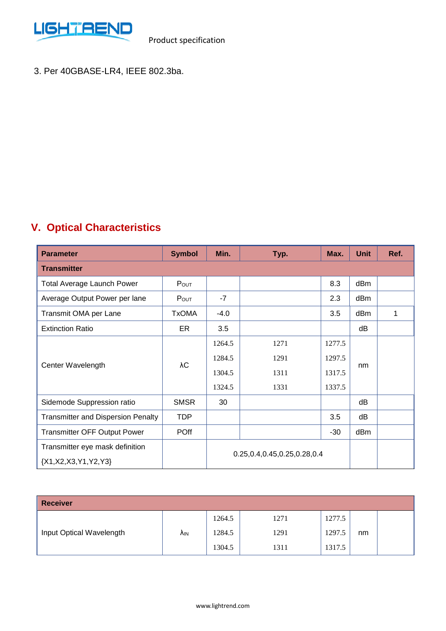

3. Per 40GBASE-LR4, IEEE 802.3ba.

## **V. Optical Characteristics**

| <b>Parameter</b>                                                                                  | <b>Symbol</b> | Min.   | Typ. | Max.   | <b>Unit</b> | Ref. |
|---------------------------------------------------------------------------------------------------|---------------|--------|------|--------|-------------|------|
| <b>Transmitter</b>                                                                                |               |        |      |        |             |      |
| <b>Total Average Launch Power</b>                                                                 | $P_{OUT}$     |        |      | 8.3    | dBm         |      |
| Average Output Power per lane                                                                     | Pout          | $-7$   |      | 2.3    | dBm         |      |
| Transmit OMA per Lane                                                                             | <b>TxOMA</b>  | $-4.0$ |      | 3.5    | dBm         | 1    |
| <b>Extinction Ratio</b>                                                                           | ER            | 3.5    |      |        | dB          |      |
|                                                                                                   | λС            | 1264.5 | 1271 | 1277.5 |             |      |
|                                                                                                   |               | 1284.5 | 1291 | 1297.5 | nm          |      |
| Center Wavelength                                                                                 |               | 1304.5 | 1311 | 1317.5 |             |      |
|                                                                                                   |               | 1324.5 | 1331 | 1337.5 |             |      |
| Sidemode Suppression ratio                                                                        | <b>SMSR</b>   | 30     |      |        | dB          |      |
| <b>Transmitter and Dispersion Penalty</b>                                                         | <b>TDP</b>    |        |      | 3.5    | dB          |      |
| <b>Transmitter OFF Output Power</b>                                                               | <b>POff</b>   |        |      | $-30$  | dBm         |      |
| Transmitter eye mask definition<br>0.25, 0.4, 0.45, 0.25, 0.28, 0.4<br>${X1, X2, X3, Y1, Y2, Y3}$ |               |        |      |        |             |      |

| <b>Receiver</b>          |     |        |      |        |    |  |
|--------------------------|-----|--------|------|--------|----|--|
| Input Optical Wavelength | ۸ın | 1264.5 | 1271 | 1277.5 |    |  |
|                          |     | 1284.5 | 1291 | 1297.5 | nm |  |
|                          |     | 1304.5 | 1311 | 1317.5 |    |  |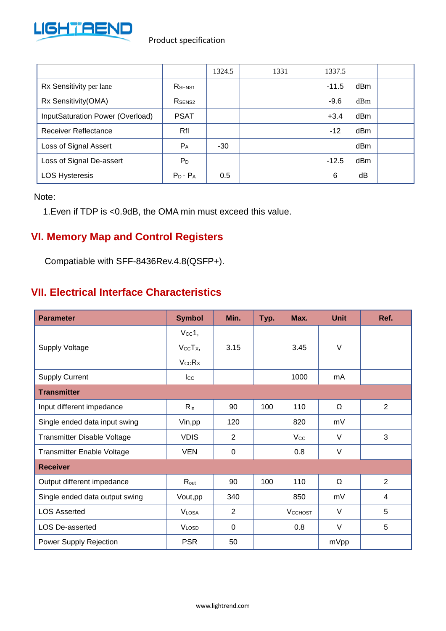

|                                  |                    | 1324.5 | 1331 | 1337.5  |     |  |
|----------------------------------|--------------------|--------|------|---------|-----|--|
| Rx Sensitivity per lane          | R <sub>SENS1</sub> |        |      | $-11.5$ | dBm |  |
| Rx Sensitivity(OMA)              | R <sub>SENS2</sub> |        |      | $-9.6$  | dBm |  |
| InputSaturation Power (Overload) | <b>PSAT</b>        |        |      | $+3.4$  | dBm |  |
| <b>Receiver Reflectance</b>      | Rfl                |        |      | $-12$   | dBm |  |
| Loss of Signal Assert            | $P_A$              | -30    |      |         | dBm |  |
| Loss of Signal De-assert         | $P_D$              |        |      | $-12.5$ | dBm |  |
| <b>LOS Hysteresis</b>            | $P_D - P_A$        | 0.5    |      | 6       | dB  |  |

Note:

1.Even if TDP is <0.9dB, the OMA min must exceed this value.

#### **VI. Memory Map and Control Registers**

Compatiable with SFF-8436Rev.4.8(QSFP+).

#### **VII. Electrical Interface Characteristics**

| <b>Parameter</b>                  | <b>Symbol</b>     | Min.           | Typ. | Max.           | <b>Unit</b> | Ref. |
|-----------------------------------|-------------------|----------------|------|----------------|-------------|------|
|                                   | $Vcc1$ ,          |                |      |                |             |      |
| <b>Supply Voltage</b>             | $V_{CC}T_{X}$     | 3.15           |      | 3.45           | $\vee$      |      |
|                                   | <b>VccRx</b>      |                |      |                |             |      |
| <b>Supply Current</b>             | $_{\text{Lcc}}$   |                |      | 1000           | mA          |      |
| <b>Transmitter</b>                |                   |                |      |                |             |      |
| Input different impedance         | $R_{in}$          | 90             | 100  | 110            | Ω           | 2    |
| Single ended data input swing     | Vin, pp           | 120            |      | 820            | mV          |      |
| Transmitter Disable Voltage       | <b>VDIS</b>       | 2              |      | Vcc            | $\vee$      | 3    |
| <b>Transmitter Enable Voltage</b> | <b>VEN</b>        | $\overline{0}$ |      | 0.8            | V           |      |
| <b>Receiver</b>                   |                   |                |      |                |             |      |
| Output different impedance        | $R_{\text{out}}$  | 90             | 100  | 110            | Ω           | 2    |
| Single ended data output swing    | Vout, pp          | 340            |      | 850            | mV          | 4    |
| <b>LOS Asserted</b>               | V <sub>LOSA</sub> | $\overline{2}$ |      | <b>VCCHOST</b> | $\vee$      | 5    |
| <b>LOS De-asserted</b>            | <b>VLOSD</b>      | $\overline{0}$ |      | 0.8            | $\vee$      | 5    |
| Power Supply Rejection            | <b>PSR</b>        | 50             |      |                | mVpp        |      |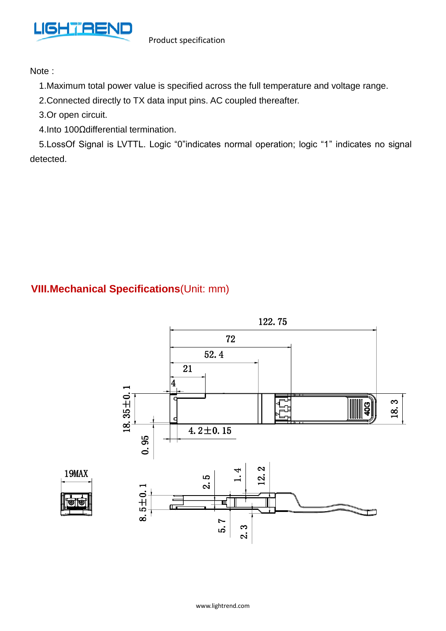

Note :

- 1.Maximum total power value is specified across the full temperature and voltage range.
- 2.Connected directly to TX data input pins. AC coupled thereafter.
- 3.Or open circuit.
- 4.Into 100Ωdifferential termination.

5.LossOf Signal is LVTTL. Logic "0"indicates normal operation; logic "1" indicates no signal detected.

#### **VIII.Mechanical Specifications**(Unit: mm)